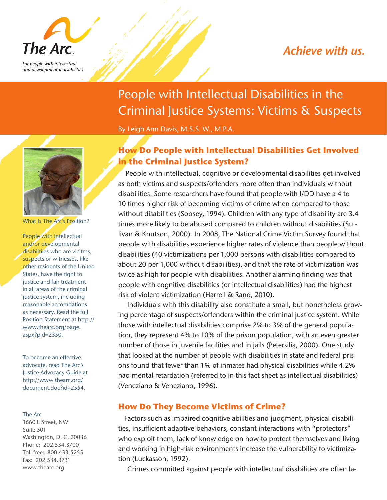## Achieve with us.



and developmental disabilities

# People with Intellectual Disabilities in the Criminal Justice Systems: Victims & Suspects

By Leigh Ann Davis, M.S.S. W., M.P.A.

#### What Is The Arc's Position?

People with intellectual and/or developmental disabiltiies who are vicitms, suspects or witnesses, like other residents of the United States, have the right to justice and fair treatment in all areas of the criminal justice system, including reasonable accomdations as necessary. Read the full Position Statement at http:// www.thearc.org/page. aspx?pid=2350.

To become an effective advocate, read The Arc's Justice Advocacy Guide at http://www.thearc.org/ document.doc?id+2554.

#### The Arc

1660 L Street, NW Suite 301 Washington, D. C. 20036 Phone: 202.534.3700 Toll free: 800.433.5255 Fax: 202.534.3731 www.thearc.org

### **How Do People with Intellectual Disabilities Get Involved in the Criminal Justice System?**

 People with intellectual, cognitive or developmental disabilities get involved as both victims and suspects/offenders more often than individuals without disabilities. Some researchers have found that people with I/DD have a 4 to 10 times higher risk of becoming victims of crime when compared to those without disabilities (Sobsey, 1994). Children with any type of disability are 3.4 times more likely to be abused compared to children without disabilities (Sullivan & Knutson, 2000). In 2008, The National Crime Victim Survey found that people with disabilities experience higher rates of violence than people without disabilities (40 victimizations per 1,000 persons with disabilities compared to about 20 per 1,000 without disabilities), and that the rate of victimization was twice as high for people with disabilities. Another alarming finding was that people with cognitive disabilities (or intellectual disabilities) had the highest risk of violent victimization (Harrell & Rand, 2010).

 Individuals with this disability also constitute a small, but nonetheless growing percentage of suspects/offenders within the criminal justice system. While those with intellectual disabilities comprise 2% to 3% of the general population, they represent 4% to 10% of the prison population, with an even greater number of those in juvenile facilities and in jails (Petersilia, 2000). One study that looked at the number of people with disabilities in state and federal prisons found that fewer than 1% of inmates had physical disabilities while 4.2% had mental retardation (referred to in this fact sheet as intellectual disabilities) (Veneziano & Veneziano, 1996).

#### **How Do They Become Victims of Crime?**

 Factors such as impaired cognitive abilities and judgment, physical disabilities, insufficient adaptive behaviors, constant interactions with "protectors" who exploit them, lack of knowledge on how to protect themselves and living and working in high-risk environments increase the vulnerability to victimization (Luckasson, 1992).

Crimes committed against people with intellectual disabilities are often la-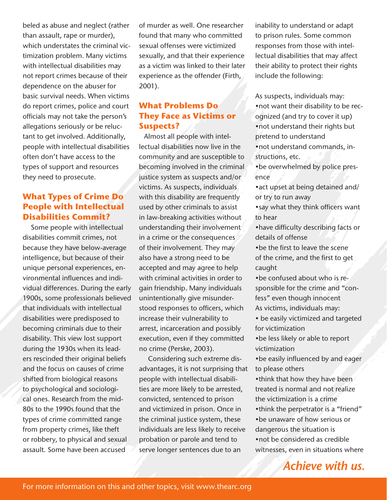beled as abuse and neglect (rather than assault, rape or murder), which understates the criminal victimization problem. Many victims with intellectual disabilities may not report crimes because of their dependence on the abuser for basic survival needs. When victims do report crimes, police and court officials may not take the person's allegations seriously or be reluctant to get involved. Additionally, people with intellectual disabilities often don't have access to the types of support and resources they need to prosecute.

#### **What Types of Crime Do People with Intellectual Disabilities Commit?**

 Some people with intellectual disabilities commit crimes, not because they have below-average intelligence, but because of their unique personal experiences, environmental influences and individual differences. During the early 1900s, some professionals believed that individuals with intellectual disabilities were predisposed to becoming criminals due to their disability. This view lost support during the 1930s when its leaders rescinded their original beliefs and the focus on causes of crime shifted from biological reasons to psychological and sociological ones. Research from the mid-80s to the 1990s found that the types of crime committed range from property crimes, like theft or robbery, to physical and sexual assault. Some have been accused

of murder as well. One researcher found that many who committed sexual offenses were victimized sexually, and that their experience as a victim was linked to their later experience as the offender (Firth, 2001).

#### **What Problems Do They Face as Victims or Suspects?**

 Almost all people with intellectual disabilities now live in the community and are susceptible to becoming involved in the criminal justice system as suspects and/or victims. As suspects, individuals with this disability are frequently used by other criminals to assist in law-breaking activities without understanding their involvement in a crime or the consequences of their involvement. They may also have a strong need to be accepted and may agree to help with criminal activities in order to gain friendship. Many individuals unintentionally give misunderstood responses to officers, which increase their vulnerability to arrest, incarceration and possibly execution, even if they committed no crime (Perske, 2003).

 Considering such extreme disadvantages, it is not surprising that people with intellectual disabilities are more likely to be arrested, convicted, sentenced to prison and victimized in prison. Once in the criminal justice system, these individuals are less likely to receive probation or parole and tend to serve longer sentences due to an

inability to understand or adapt to prison rules. Some common responses from those with intellectual disabilities that may affect their ability to protect their rights include the following:

As suspects, individuals may: •not want their disability to be recognized (and try to cover it up) •not understand their rights but pretend to understand

•not understand commands, instructions, etc.

•be overwhelmed by police presence

•act upset at being detained and/ or try to run away

•say what they think officers want to hear

•have difficulty describing facts or details of offense

•be the first to leave the scene of the crime, and the first to get caught

•be confused about who is responsible for the crime and "confess" even though innocent As victims, individuals may:

• be easily victimized and targeted for victimization

•be less likely or able to report victimization

•be easily influenced by and eager to please others

•think that how they have been treated is normal and not realize the victimization is a crime

•think the perpetrator is a "friend" •be unaware of how serious or dangerous the situation is

•not be considered as credible witnesses, even in situations where